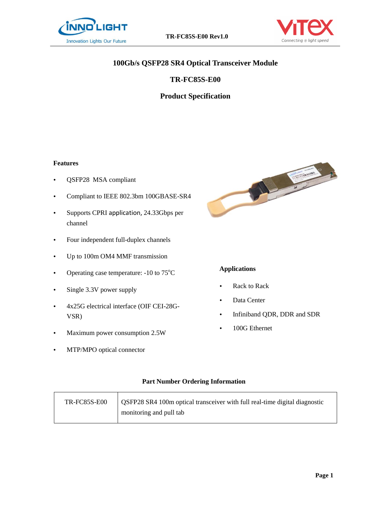



# **100Gb/s QSFP28 SR4 Optical Transceiver Module**

# **TR-FC85S-E00**

# **Product Specification**

#### **Features**

- QSFP28 MSA compliant
- Compliant to IEEE 802.3bm 100GBASE-SR4
- Supports CPRI application, 24.33Gbps per channel
- Four independent full-duplex channels
- Up to 100m OM4 MMF transmission
- Operating case temperature:  $-10$  to  $75^{\circ}$ C
- Single 3.3V power supply
- 4x25G electrical interface (OIF CEI-28G-VSR)
- Maximum power consumption 2.5W
- MTP/MPO optical connector



# **Applications**

- Rack to Rack
- Data Center
- Infiniband QDR, DDR and SDR
- 100G Ethernet

#### **Part Number Ordering Information**

| <b>TR-FC85S-E00</b> | <b>OSFP28 SR4 100m optical transceiver with full real-time digital diagnostic</b> |
|---------------------|-----------------------------------------------------------------------------------|
|                     | monitoring and pull tab                                                           |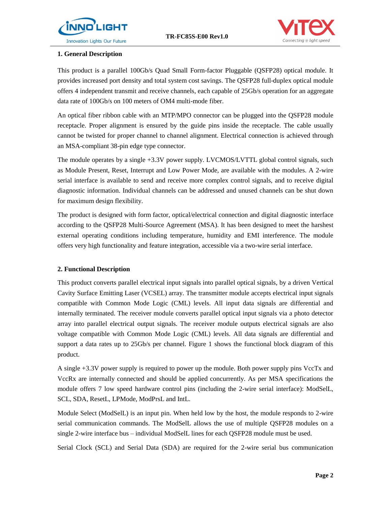



#### **1. General Description**

This product is a parallel 100Gb/s Quad Small Form-factor Pluggable (QSFP28) optical module. It provides increased port density and total system cost savings. The QSFP28 full-duplex optical module offers 4 independent transmit and receive channels, each capable of 25Gb/s operation for an aggregate data rate of 100Gb/s on 100 meters of OM4 multi-mode fiber.

An optical fiber ribbon cable with an MTP/MPO connector can be plugged into the QSFP28 module receptacle. Proper alignment is ensured by the guide pins inside the receptacle. The cable usually cannot be twisted for proper channel to channel alignment. Electrical connection is achieved through an MSA-compliant 38-pin edge type connector.

The module operates by a single +3.3V power supply. LVCMOS/LVTTL global control signals, such as Module Present, Reset, Interrupt and Low Power Mode, are available with the modules. A 2-wire serial interface is available to send and receive more complex control signals, and to receive digital diagnostic information. Individual channels can be addressed and unused channels can be shut down for maximum design flexibility.

The product is designed with form factor, optical/electrical connection and digital diagnostic interface according to the QSFP28 Multi-Source Agreement (MSA). It has been designed to meet the harshest external operating conditions including temperature, humidity and EMI interference. The module offers very high functionality and feature integration, accessible via a two-wire serial interface.

#### **2. Functional Description**

This product converts parallel electrical input signals into parallel optical signals, by a driven Vertical Cavity Surface Emitting Laser (VCSEL) array. The transmitter module accepts electrical input signals compatible with Common Mode Logic (CML) levels. All input data signals are differential and internally terminated. The receiver module converts parallel optical input signals via a photo detector array into parallel electrical output signals. The receiver module outputs electrical signals are also voltage compatible with Common Mode Logic (CML) levels. All data signals are differential and support a data rates up to 25Gb/s per channel. Figure 1 shows the functional block diagram of this product.

A single +3.3V power supply is required to power up the module. Both power supply pins VccTx and VccRx are internally connected and should be applied concurrently. As per MSA specifications the module offers 7 low speed hardware control pins (including the 2-wire serial interface): ModSelL, SCL, SDA, ResetL, LPMode, ModPrsL and IntL.

Module Select (ModSelL) is an input pin. When held low by the host, the module responds to 2-wire serial communication commands. The ModSelL allows the use of multiple QSFP28 modules on a single 2-wire interface bus – individual ModSelL lines for each QSFP28 module must be used.

Serial Clock (SCL) and Serial Data (SDA) are required for the 2-wire serial bus communication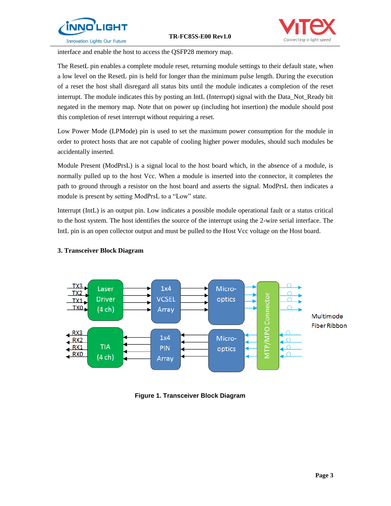



interface and enable the host to access the QSFP28 memory map.

The ResetL pin enables a complete module reset, returning module settings to their default state, when a low level on the ResetL pin is held for longer than the minimum pulse length. During the execution of a reset the host shall disregard all status bits until the module indicates a completion of the reset interrupt. The module indicates this by posting an IntL (Interrupt) signal with the Data\_Not\_Ready bit negated in the memory map. Note that on power up (including hot insertion) the module should post this completion of reset interrupt without requiring a reset.

Low Power Mode (LPMode) pin is used to set the maximum power consumption for the module in order to protect hosts that are not capable of cooling higher power modules, should such modules be accidentally inserted.

Module Present (ModPrsL) is a signal local to the host board which, in the absence of a module, is normally pulled up to the host Vcc. When a module is inserted into the connector, it completes the path to ground through a resistor on the host board and asserts the signal. ModPrsL then indicates a module is present by setting ModPrsL to a "Low" state.

Interrupt (IntL) is an output pin. Low indicates a possible module operational fault or a status critical to the host system. The host identifies the source of the interrupt using the 2-wire serial interface. The IntL pin is an open collector output and must be pulled to the Host Vcc voltage on the Host board.



#### **3. Transceiver Block Diagram**

**Figure 1. Transceiver Block Diagram**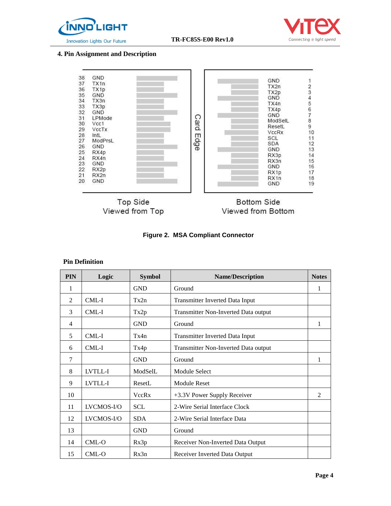



# **4. Pin Assignment and Description**



#### **Figure 2. MSA Compliant Connector**

#### **Pin Definition**

| <b>PIN</b>     | Logic      | <b>Symbol</b> | <b>Name/Description</b>              | <b>Notes</b>   |
|----------------|------------|---------------|--------------------------------------|----------------|
| 1              |            | <b>GND</b>    | Ground                               | 1              |
| 2              | CML-I      | Tx2n          | Transmitter Inverted Data Input      |                |
| 3              | CML-I      | Tx2p          | Transmitter Non-Inverted Data output |                |
| $\overline{4}$ |            | <b>GND</b>    | Ground                               | 1              |
| 5              | $CML-I$    | Tx4n          | Transmitter Inverted Data Input      |                |
| 6              | CML-I      | Tx4p          | Transmitter Non-Inverted Data output |                |
| 7              |            | <b>GND</b>    | Ground                               | 1              |
| 8              | LVTLL-I    | ModSelL       | Module Select                        |                |
| 9              | LVTLL-I    | ResetL        | <b>Module Reset</b>                  |                |
| 10             |            | VccRx         | +3.3V Power Supply Receiver          | $\mathfrak{D}$ |
| 11             | LVCMOS-I/O | <b>SCL</b>    | 2-Wire Serial Interface Clock        |                |
| 12             | LVCMOS-I/O | <b>SDA</b>    | 2-Wire Serial Interface Data         |                |
| 13             |            | <b>GND</b>    | Ground                               |                |
| 14             | CML-O      | Rx3p          | Receiver Non-Inverted Data Output    |                |
| 15             | CML-O      | Rx3n          | Receiver Inverted Data Output        |                |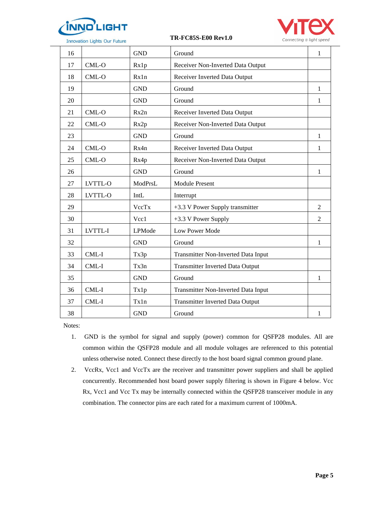

**Innovation Lights Our Future** 

 **TR-FC85S-E00 Rev1.0**



| 16 |         | <b>GND</b> | Ground                              | 1              |
|----|---------|------------|-------------------------------------|----------------|
| 17 | $CML-O$ | Rx1p       | Receiver Non-Inverted Data Output   |                |
| 18 | $CML-O$ | Rx1n       | Receiver Inverted Data Output       |                |
| 19 |         | <b>GND</b> | Ground                              | 1              |
| 20 |         | <b>GND</b> | Ground                              | 1              |
| 21 | $CML-O$ | Rx2n       | Receiver Inverted Data Output       |                |
| 22 | $CML-O$ | Rx2p       | Receiver Non-Inverted Data Output   |                |
| 23 |         | <b>GND</b> | Ground                              | $\mathbf{1}$   |
| 24 | CML-O   | Rx4n       | Receiver Inverted Data Output       | 1              |
| 25 | CML-O   | Rx4p       | Receiver Non-Inverted Data Output   |                |
| 26 |         | <b>GND</b> | Ground                              | $\mathbf{1}$   |
| 27 | LVTTL-O | ModPrsL    | <b>Module Present</b>               |                |
| 28 | LVTTL-O | IntL       | Interrupt                           |                |
| 29 |         | VccTx      | +3.3 V Power Supply transmitter     | $\overline{2}$ |
| 30 |         | Vcc1       | +3.3 V Power Supply                 | 2              |
| 31 | LVTTL-I | LPMode     | Low Power Mode                      |                |
| 32 |         | <b>GND</b> | Ground                              | $\mathbf{1}$   |
| 33 | CML-I   | Tx3p       | Transmitter Non-Inverted Data Input |                |
| 34 | CML-I   | Tx3n       | Transmitter Inverted Data Output    |                |
| 35 |         | <b>GND</b> | Ground                              | $\mathbf{1}$   |
| 36 | CML-I   | Tx1p       | Transmitter Non-Inverted Data Input |                |
| 37 | CML-I   | Tx1n       | Transmitter Inverted Data Output    |                |
| 38 |         | <b>GND</b> | Ground                              | 1              |

Notes:

- 1. GND is the symbol for signal and supply (power) common for QSFP28 modules. All are common within the QSFP28 module and all module voltages are referenced to this potential unless otherwise noted. Connect these directly to the host board signal common ground plane.
- 2. VccRx, Vcc1 and VccTx are the receiver and transmitter power suppliers and shall be applied concurrently. Recommended host board power supply filtering is shown in Figure 4 below. Vcc Rx, Vcc1 and Vcc Tx may be internally connected within the QSFP28 transceiver module in any combination. The connector pins are each rated for a maximum current of 1000mA.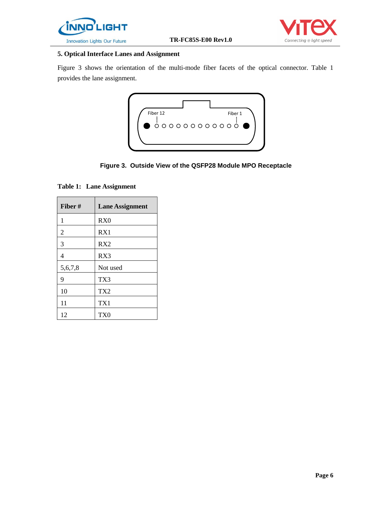



# **5. Optical Interface Lanes and Assignment**

Figure 3 shows the orientation of the multi-mode fiber facets of the optical connector. Table 1 provides the lane assignment.



**Figure 3. Outside View of the QSFP28 Module MPO Receptacle**

**Table 1: Lane Assignment** 

| Fiber#  | <b>Lane Assignment</b> |
|---------|------------------------|
| 1       | RX0                    |
| 2       | RX1                    |
| 3       | RX2                    |
| 4       | RX3                    |
| 5,6,7,8 | Not used               |
| 9       | TX3                    |
| 10      | TX <sub>2</sub>        |
| 11      | TX1                    |
| 12      | TX <sub>0</sub>        |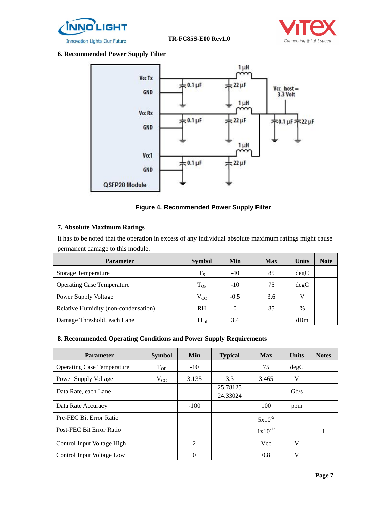



#### **6. Recommended Power Supply Filter**



#### **Figure 4. Recommended Power Supply Filter**

#### **7. Absolute Maximum Ratings**

It has to be noted that the operation in excess of any individual absolute maximum ratings might cause permanent damage to this module.

| <b>Parameter</b>                     | <b>Symbol</b> | <b>Min</b> | <b>Max</b> | <b>Units</b> | <b>Note</b> |
|--------------------------------------|---------------|------------|------------|--------------|-------------|
| <b>Storage Temperature</b>           | $T_S$         | $-40$      | 85         | degC         |             |
| <b>Operating Case Temperature</b>    | $T_{OP}$      | $-10$      | 75         | degC         |             |
| <b>Power Supply Voltage</b>          | $V_{CC}$      | $-0.5$     | 3.6        | V            |             |
| Relative Humidity (non-condensation) | <b>RH</b>     | 0          | 85         | $\%$         |             |
| Damage Threshold, each Lane          | $TH_{d}$      | 3.4        |            | dBm          |             |

#### **8. Recommended Operating Conditions and Power Supply Requirements**

| <b>Parameter</b>                  | <b>Symbol</b> | <b>Min</b>     | <b>Typical</b>       | <b>Max</b>   | <b>Units</b> | <b>Notes</b> |
|-----------------------------------|---------------|----------------|----------------------|--------------|--------------|--------------|
| <b>Operating Case Temperature</b> | $T_{OP}$      | $-10^{-}$      |                      | 75           | degC         |              |
| Power Supply Voltage              | $V_{CC}$      | 3.135          | 3.3                  | 3.465        | V            |              |
| Data Rate, each Lane              |               |                | 25.78125<br>24.33024 |              | Gb/s         |              |
| Data Rate Accuracy                |               | $-100$         |                      | 100          | ppm          |              |
| Pre-FEC Bit Error Ratio           |               |                |                      | $5x10^{-5}$  |              |              |
| Post-FEC Bit Error Ratio          |               |                |                      | $1x10^{-12}$ |              |              |
| Control Input Voltage High        |               | $\mathfrak{D}$ |                      | <b>Vcc</b>   | V            |              |
| Control Input Voltage Low         |               | 0              |                      | 0.8          | V            |              |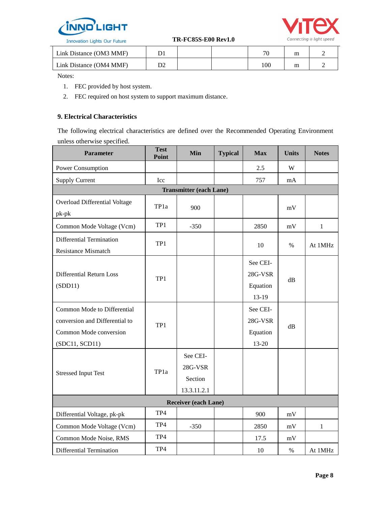



| Link Distance (OM3 MMF) |  | 70  | m |  |
|-------------------------|--|-----|---|--|
| Link Distance (OM4 MMF) |  | 100 | m |  |

Notes:

- 1. FEC provided by host system.
- 2. FEC required on host system to support maximum distance.

### **9. Electrical Characteristics**

The following electrical characteristics are defined over the Recommended Operating Environment unless otherwise specified.

| <b>Parameter</b>                                                                                          | <b>Test</b><br>Point | Min                                           | <b>Typical</b> | <b>Max</b>                               | <b>Units</b> | <b>Notes</b> |  |  |
|-----------------------------------------------------------------------------------------------------------|----------------------|-----------------------------------------------|----------------|------------------------------------------|--------------|--------------|--|--|
| Power Consumption                                                                                         |                      |                                               |                | 2.5                                      | W            |              |  |  |
| <b>Supply Current</b>                                                                                     | Icc                  |                                               |                | 757                                      | mA           |              |  |  |
|                                                                                                           |                      | <b>Transmitter (each Lane)</b>                |                |                                          |              |              |  |  |
| Overload Differential Voltage<br>$pk-pk$                                                                  | TP1a                 | 900                                           |                |                                          | mV           |              |  |  |
| Common Mode Voltage (Vcm)                                                                                 | TP1                  | $-350$                                        |                | 2850                                     | mV           | $\mathbf{1}$ |  |  |
| Differential Termination<br><b>Resistance Mismatch</b>                                                    | TP1                  |                                               |                | 10                                       | $\%$         | At 1MHz      |  |  |
| Differential Return Loss<br>(SDD11)                                                                       | TP1                  |                                               |                | See CEI-<br>28G-VSR<br>Equation<br>13-19 | $\rm dB$     |              |  |  |
| Common Mode to Differential<br>conversion and Differential to<br>Common Mode conversion<br>(SDC11, SCD11) | TP <sub>1</sub>      |                                               |                | See CEI-<br>28G-VSR<br>Equation<br>13-20 | dB           |              |  |  |
| <b>Stressed Input Test</b>                                                                                | TP <sub>1a</sub>     | See CEI-<br>28G-VSR<br>Section<br>13.3.11.2.1 |                |                                          |              |              |  |  |
| <b>Receiver (each Lane)</b>                                                                               |                      |                                               |                |                                          |              |              |  |  |
| Differential Voltage, pk-pk                                                                               | TP4                  |                                               |                | 900                                      | $\rm mV$     |              |  |  |
| Common Mode Voltage (Vcm)                                                                                 | TP4                  | $-350$                                        |                | 2850                                     | mV           | 1            |  |  |
| Common Mode Noise, RMS                                                                                    | TP4                  |                                               |                | 17.5                                     | mV           |              |  |  |
| Differential Termination                                                                                  | TP4                  |                                               |                | 10                                       | $\%$         | At 1MHz      |  |  |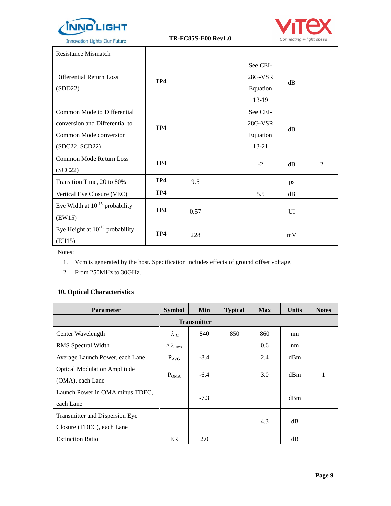

**Innovation Lights Our Future** 

 **TR-FC85S-E00 Rev1.0**



| <b>Resistance Mismatch</b>                                                                                |                 |      |                                            |    |                |
|-----------------------------------------------------------------------------------------------------------|-----------------|------|--------------------------------------------|----|----------------|
| Differential Return Loss<br>(SDD22)                                                                       | TP <sub>4</sub> |      | See CEI-<br>28G-VSR<br>Equation<br>$13-19$ | dB |                |
| Common Mode to Differential<br>conversion and Differential to<br>Common Mode conversion<br>(SDC22, SCD22) | TP4             |      | See CEI-<br>28G-VSR<br>Equation<br>13-21   | dB |                |
| Common Mode Return Loss<br>(SCC22)                                                                        | TP4             |      | $-2$                                       | dB | $\overline{c}$ |
| Transition Time, 20 to 80%                                                                                | TP4             | 9.5  |                                            | ps |                |
| Vertical Eye Closure (VEC)                                                                                | TP4             |      | 5.5                                        | dB |                |
| Eye Width at $10^{-15}$ probability<br>(EW15)                                                             | TP <sub>4</sub> | 0.57 |                                            | UI |                |
| Eye Height at $10^{-15}$ probability<br>(EH15)                                                            | TP4             | 228  |                                            | mV |                |

Notes:

- 1. Vcm is generated by the host. Specification includes effects of ground offset voltage.
- 2. From 250MHz to 30GHz.

# **10. Optical Characteristics**

| <b>Parameter</b>                                            | <b>Symbol</b>                   | Min    | <b>Typical</b> | <b>Max</b> | <b>Units</b> | <b>Notes</b> |  |  |  |
|-------------------------------------------------------------|---------------------------------|--------|----------------|------------|--------------|--------------|--|--|--|
| <b>Transmitter</b>                                          |                                 |        |                |            |              |              |  |  |  |
| Center Wavelength                                           | $\lambda_c$                     | 840    | 850            | 860        | nm           |              |  |  |  |
| RMS Spectral Width                                          | $\Delta \lambda$ <sub>rms</sub> |        |                | 0.6        | nm           |              |  |  |  |
| Average Launch Power, each Lane                             | $P_{AVG}$                       | $-8.4$ |                | 2.4        | dBm          |              |  |  |  |
| <b>Optical Modulation Amplitude</b><br>(OMA), each Lane     | $P_{OMA}$                       | $-6.4$ |                | 3.0        | dBm          | 1            |  |  |  |
| Launch Power in OMA minus TDEC,<br>each Lane                |                                 | $-7.3$ |                |            | dBm          |              |  |  |  |
| Transmitter and Dispersion Eye<br>Closure (TDEC), each Lane |                                 |        |                | 4.3        | dВ           |              |  |  |  |
| <b>Extinction Ratio</b>                                     | ER                              | 2.0    |                |            | dВ           |              |  |  |  |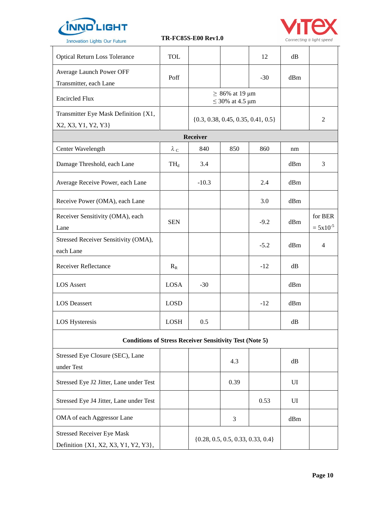

Stressed Receiver Eye Mask

Definition {X1, X2, X3, Y1, Y2, Y3},

 **TR-FC85S-E00 Rev1.0**



| <b>Innovation Lights Our Future</b>                            |             | 1 K-F C83S-EUU KEVL.U |                                              |        |     | Connecting @ light speed |
|----------------------------------------------------------------|-------------|-----------------------|----------------------------------------------|--------|-----|--------------------------|
| <b>Optical Return Loss Tolerance</b>                           | <b>TOL</b>  |                       |                                              | 12     | dB  |                          |
| Average Launch Power OFF<br>Transmitter, each Lane             | Poff        |                       |                                              | $-30$  | dBm |                          |
| <b>Encircled Flux</b>                                          |             |                       | $\geq 86\%$ at 19 µm<br>$\leq$ 30% at 4.5 µm |        |     |                          |
| Transmitter Eye Mask Definition {X1,<br>X2, X3, Y1, Y2, Y3}    |             |                       | $\{0.3, 0.38, 0.45, 0.35, 0.41, 0.5\}$       |        |     | 2                        |
|                                                                |             | Receiver              |                                              |        |     |                          |
| Center Wavelength                                              | $\lambda_c$ | 840                   | 850                                          | 860    | nm  |                          |
| Damage Threshold, each Lane                                    | $TH_d$      | 3.4                   |                                              |        | dBm | 3                        |
| Average Receive Power, each Lane                               |             | $-10.3$               |                                              | 2.4    | dBm |                          |
| Receive Power (OMA), each Lane                                 |             |                       |                                              | 3.0    | dBm |                          |
| Receiver Sensitivity (OMA), each<br>Lane                       | <b>SEN</b>  |                       |                                              | $-9.2$ | dBm | for BER<br>$= 5x10^{-5}$ |
| Stressed Receiver Sensitivity (OMA),<br>each Lane              |             |                       |                                              | $-5.2$ | dBm | 4                        |
| <b>Receiver Reflectance</b>                                    | $R_R$       |                       |                                              | $-12$  | dB  |                          |
| <b>LOS Assert</b>                                              | <b>LOSA</b> | $-30$                 |                                              |        | dBm |                          |
| <b>LOS</b> Deassert                                            | <b>LOSD</b> |                       |                                              | $-12$  | dBm |                          |
| <b>LOS Hysteresis</b>                                          | LOSH        | 0.5                   |                                              |        | dB  |                          |
| <b>Conditions of Stress Receiver Sensitivity Test (Note 5)</b> |             |                       |                                              |        |     |                          |
| Stressed Eye Closure (SEC), Lane<br>under Test                 |             |                       | 4.3                                          |        | dB  |                          |
| Stressed Eye J2 Jitter, Lane under Test                        |             |                       | 0.39                                         |        | UI  |                          |
| Stressed Eye J4 Jitter, Lane under Test                        |             |                       |                                              | 0.53   | UI  |                          |

OMA of each Aggressor Lane 1 3 3 dBm

{0.28, 0.5, 0.5, 0.33, 0.33, 0.4}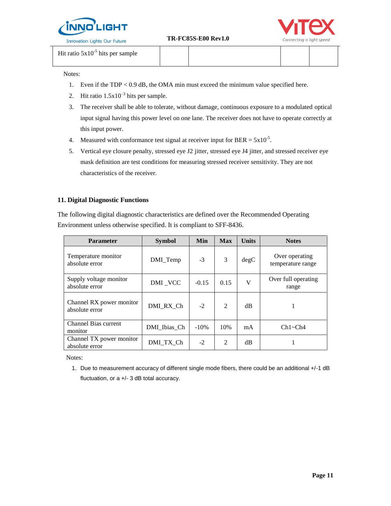



Hit ratio  $5x10^{-5}$  hits per sample

Notes:

- 1. Even if the TDP < 0.9 dB, the OMA min must exceed the minimum value specified here.
- 2. Hit ratio  $1.5x10^{-3}$  hits per sample.
- 3. The receiver shall be able to tolerate, without damage, continuous exposure to a modulated optical input signal having this power level on one lane. The receiver does not have to operate correctly at this input power.
- 4. Measured with conformance test signal at receiver input for BER =  $5x10^{-5}$ .
- 5. Vertical eye closure penalty, stressed eye J2 jitter, stressed eye J4 jitter, and stressed receiver eye mask definition are test conditions for measuring stressed receiver sensitivity. They are not characteristics of the receiver.

#### **11. Digital Diagnostic Functions**

The following digital diagnostic characteristics are defined over the Recommended Operating Environment unless otherwise specified. It is compliant to SFF-8436.

| <b>Parameter</b>                           | <b>Symbol</b> | Min     | <b>Max</b>    | <b>Units</b> | <b>Notes</b>                        |
|--------------------------------------------|---------------|---------|---------------|--------------|-------------------------------------|
| Temperature monitor<br>absolute error      | DMI_Temp      | $-3$    | $\mathcal{F}$ | degC         | Over operating<br>temperature range |
| Supply voltage monitor<br>absolute error   | DMI VCC       | $-0.15$ | 0.15          | V            | Over full operating<br>range        |
| Channel RX power monitor<br>absolute error | DMI RX Ch     | $-2$    | $\mathcal{L}$ | dB           |                                     |
| Channel Bias current<br>monitor            | DMI Ibias Ch  | $-10%$  | 10%           | mA           | Ch1~Ch4                             |
| Channel TX power monitor<br>absolute error | DMI TX Ch     | $-2$    | 2             | dB           |                                     |

Notes:

1. Due to measurement accuracy of different single mode fibers, there could be an additional +/-1 dB fluctuation, or a +/- 3 dB total accuracy.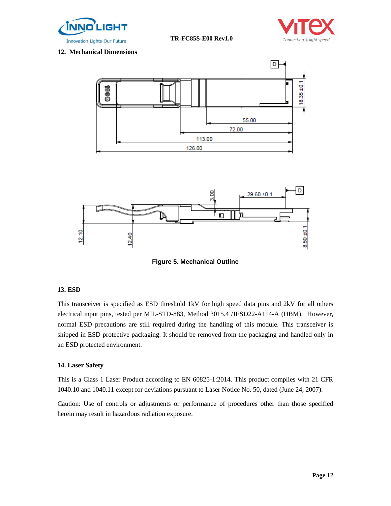



#### **12. Mechanical Dimensions**



**Figure 5. Mechanical Outline** 

#### **13. ESD**

This transceiver is specified as ESD threshold 1kV for high speed data pins and 2kV for all others electrical input pins, tested per MIL-STD-883, Method 3015.4 /JESD22-A114-A (HBM). However, normal ESD precautions are still required during the handling of this module. This transceiver is shipped in ESD protective packaging. It should be removed from the packaging and handled only in an ESD protected environment.

#### **14. Laser Safety**

This is a Class 1 Laser Product according to EN 60825-1:2014. This product complies with 21 CFR 1040.10 and 1040.11 except for deviations pursuant to Laser Notice No. 50, dated (June 24, 2007).

Caution: Use of controls or adjustments or performance of procedures other than those specified herein may result in hazardous radiation exposure.